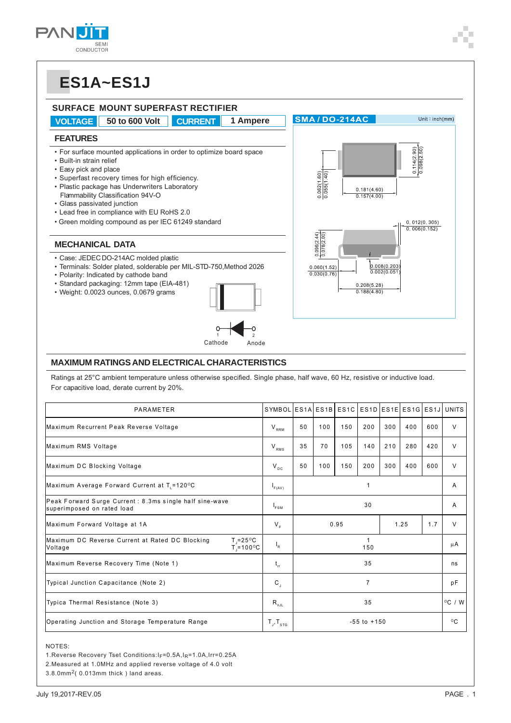## **ES1A~ES1J**



#### **MAXIMUM RATINGS AND ELECTRICAL CHARACTERISTICS**

Ratings at 25°C ambient temperature unless otherwise specified. Single phase, half wave, 60 Hz, resistive or inductive load. For capacitive load, derate current by 20%.

| PARAMETER                                                                                             | SYMBOL ES1A ES1B ES1C       |                 |     |     |     |              |     |        | ES1D ES1E ES1G ES1J UNITS |
|-------------------------------------------------------------------------------------------------------|-----------------------------|-----------------|-----|-----|-----|--------------|-----|--------|---------------------------|
| Maximum Recurrent Peak Reverse Voltage                                                                | $V_{RRM}$                   | 50              | 100 | 150 | 200 | 300          | 400 | 600    | V                         |
| Maximum RMS Voltage                                                                                   | $V_{RMS}$                   | 35              | 70  | 105 | 140 | 210          | 280 | 420    | V                         |
| Maximum DC Blocking Voltage                                                                           |                             | 50              | 100 | 150 | 200 | 300          | 400 | 600    | $\vee$                    |
| Maximum Average Forward Current at $T1 = 120$ °C                                                      | $I_{F(AV)}$                 | $\mathbf{1}$    |     |     |     |              |     | A      |                           |
| Peak Forward Surge Current: 8.3ms single half sine-wave<br>superimposed on rated load                 | $I_{FSM}$                   | 30              |     |     |     |              |     |        | Α                         |
| Maximum Forward Voltage at 1A                                                                         | $V_{E}$                     | 0.95<br>1.25    |     |     | 1.7 | V            |     |        |                           |
| Maximum DC Reverse Current at Rated DC Blocking<br>$T = 25^{\circ}C$<br>$T = 100^{\circ}C$<br>Voltage |                             | 1<br>150        |     |     |     |              | μA  |        |                           |
| Maximum Reverse Recovery Time (Note 1)                                                                |                             | 35              |     |     |     |              | ns  |        |                           |
| Typical Junction Capacitance (Note 2)                                                                 |                             | $\overline{7}$  |     |     |     |              | pF  |        |                           |
| Typica Thermal Resistance (Note 3)                                                                    | $R_{\theta JL}$             | 35              |     |     |     |              |     | °C / W |                           |
| Operating Junction and Storage Temperature Range                                                      | $T_{\rm J}$ , $T_{\rm src}$ | $-55$ to $+150$ |     |     |     | $^{\circ}$ C |     |        |                           |

NOTES:

- 1.Reverse Recovery Tset Conditions: I<sub>F</sub>=0.5A, I<sub>R</sub>=1.0A, Irr=0.25A
- 2.Measured at 1.0MHz and applied reverse voltage of 4.0 volt

3.8.0mm2( 0.013mm thick ) land areas.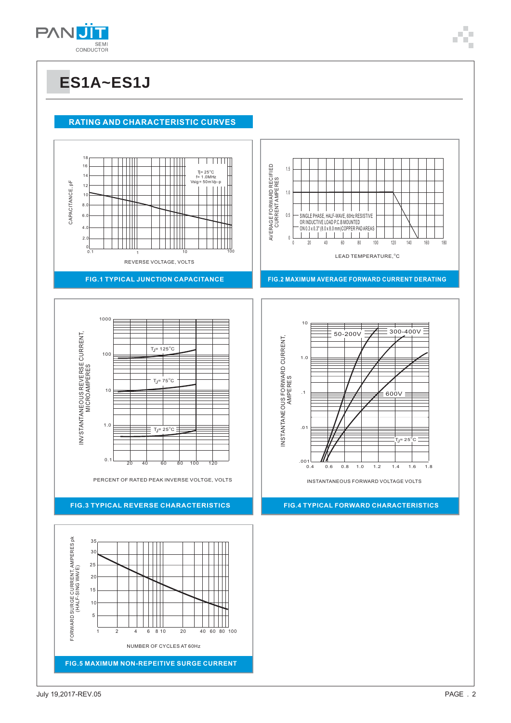

#### **RATING AND CHARACTERISTIC CURVES**





#### **FIG.3 TYPICAL REVERSE CHARACTERISTICS**









INSTANTANEOUS FORWARD VOLTAGE VOLTS

**FIG.4 TYPICAL FORWARD CHARACTERISTICS**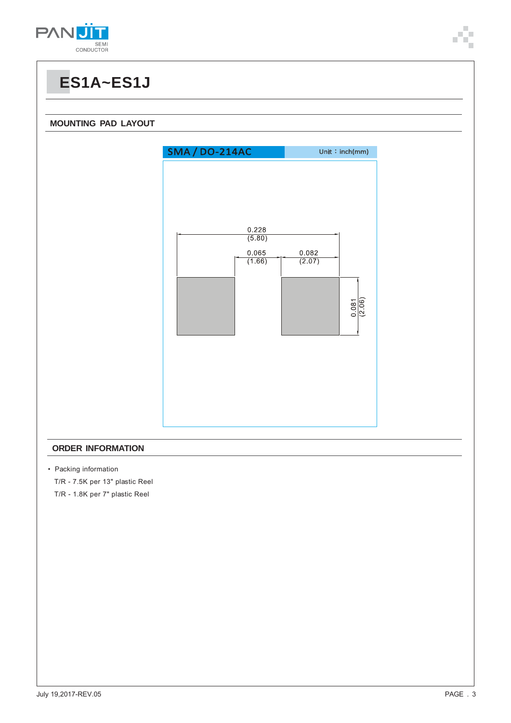

## **ES1A~ES1J**

#### **MOUNTING PAD LAYOUT**



#### **ORDER INFORMATION**

• Packing information

T/R - 7.5K per 13" plastic Reel

T/R - 1.8K per 7" plastic Reel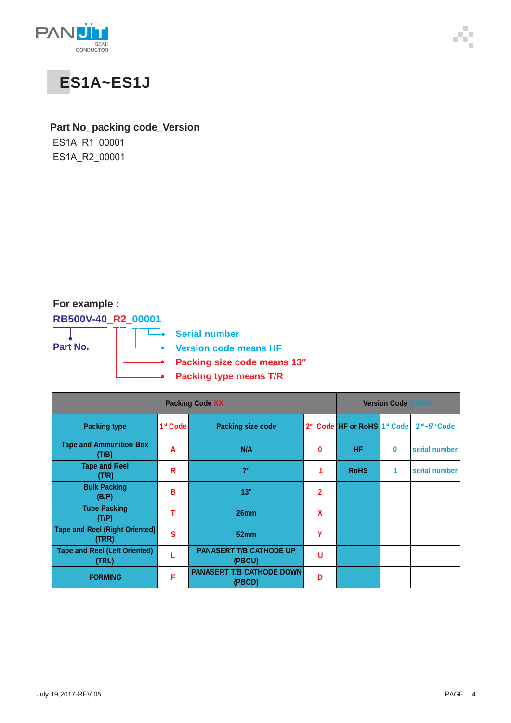

# **ES1A~ES1J Part No\_packing code\_Version** ES1A\_R1\_00001 ES1A\_R2\_00001

#### **For example :**

**RB500V-40\_R2\_00001**

**Part No.**

L. **Serial number**

**Version code means HF**

**Packing size code means 13"**

**Packing type means T/R**

| <b>Packing Code XX</b>                         |                      |                                            | <b>Version Code XXXXX</b> |                                                      |   |                                       |  |  |
|------------------------------------------------|----------------------|--------------------------------------------|---------------------------|------------------------------------------------------|---|---------------------------------------|--|--|
| <b>Packing type</b>                            | 1 <sup>st</sup> Code | <b>Packing size code</b>                   |                           | 2 <sup>nd</sup> Code HF or RoHS 1 <sup>st</sup> Code |   | 2 <sup>nd</sup> ~5 <sup>th</sup> Code |  |  |
| <b>Tape and Ammunition Box</b><br>(T/B)        | A                    | N/A                                        | 0                         | HF                                                   | 0 | serial number                         |  |  |
| <b>Tape and Reel</b><br>(T/R)                  | R                    | 7"                                         |                           | <b>RoHS</b>                                          | 1 | serial number                         |  |  |
| <b>Bulk Packing</b><br>(B/P)                   | В                    | 13"                                        | $\overline{2}$            |                                                      |   |                                       |  |  |
| <b>Tube Packing</b><br>(T/P)                   |                      | 26 <sub>mm</sub>                           | X                         |                                                      |   |                                       |  |  |
| <b>Tape and Reel (Right Oriented)</b><br>(TRR) | Ś                    | 52 <sub>mm</sub>                           | Υ                         |                                                      |   |                                       |  |  |
| <b>Tape and Reel (Left Oriented)</b><br>(TRL)  |                      | <b>PANASERT T/B CATHODE UP</b><br>(PBCU)   | U                         |                                                      |   |                                       |  |  |
| <b>FORMING</b>                                 | F                    | <b>PANASERT T/B CATHODE DOWN</b><br>(PBCD) | n                         |                                                      |   |                                       |  |  |